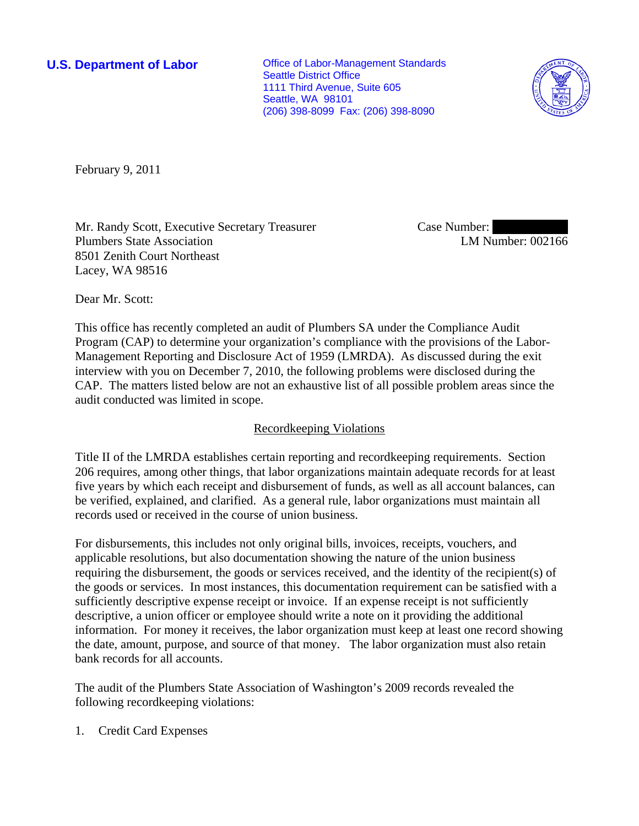**U.S. Department of Labor Conservative Conservative Conservative Conservative Conservative Conservative Conservative Conservative Conservative Conservative Conservative Conservative Conservative Conservative Conservative** Seattle District Office 1111 Third Avenue, Suite 605 Seattle, WA 98101 (206) 398-8099 Fax: (206) 398-8090



February 9, 2011

Mr. Randy Scott, Executive Secretary Treasurer Plumbers State Association 8501 Zenith Court Northeast Lacey, WA 98516

Case Number: LM Number: 002166

Dear Mr. Scott:

This office has recently completed an audit of Plumbers SA under the Compliance Audit Program (CAP) to determine your organization's compliance with the provisions of the Labor-Management Reporting and Disclosure Act of 1959 (LMRDA). As discussed during the exit interview with you on December 7, 2010, the following problems were disclosed during the CAP. The matters listed below are not an exhaustive list of all possible problem areas since the audit conducted was limited in scope.

# Recordkeeping Violations

Title II of the LMRDA establishes certain reporting and recordkeeping requirements. Section 206 requires, among other things, that labor organizations maintain adequate records for at least five years by which each receipt and disbursement of funds, as well as all account balances, can be verified, explained, and clarified. As a general rule, labor organizations must maintain all records used or received in the course of union business.

For disbursements, this includes not only original bills, invoices, receipts, vouchers, and applicable resolutions, but also documentation showing the nature of the union business requiring the disbursement, the goods or services received, and the identity of the recipient(s) of the goods or services. In most instances, this documentation requirement can be satisfied with a sufficiently descriptive expense receipt or invoice. If an expense receipt is not sufficiently descriptive, a union officer or employee should write a note on it providing the additional information. For money it receives, the labor organization must keep at least one record showing the date, amount, purpose, and source of that money. The labor organization must also retain bank records for all accounts.

The audit of the Plumbers State Association of Washington's 2009 records revealed the following recordkeeping violations:

1. Credit Card Expenses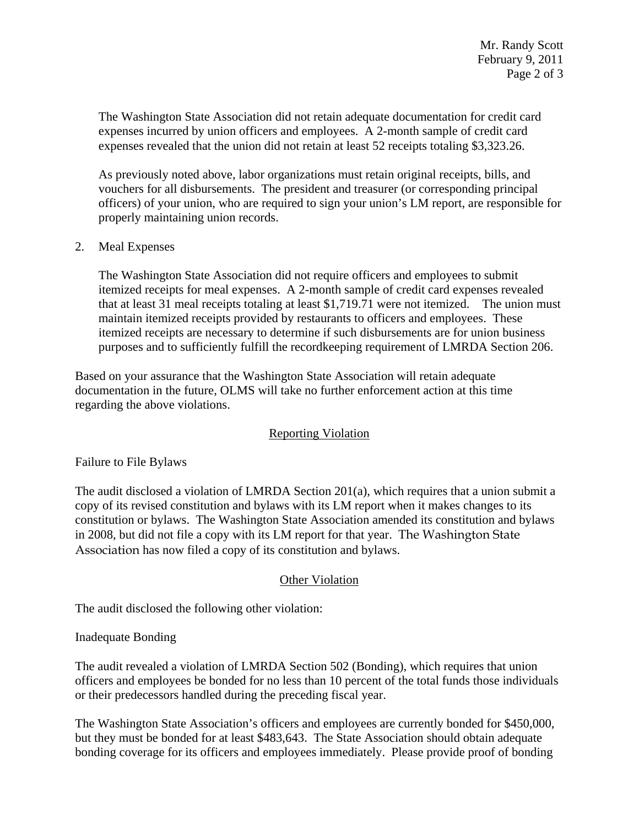The Washington State Association did not retain adequate documentation for credit card expenses incurred by union officers and employees. A 2-month sample of credit card expenses revealed that the union did not retain at least 52 receipts totaling \$3,323.26.

As previously noted above, labor organizations must retain original receipts, bills, and vouchers for all disbursements. The president and treasurer (or corresponding principal officers) of your union, who are required to sign your union's LM report, are responsible for properly maintaining union records.

#### 2. Meal Expenses

The Washington State Association did not require officers and employees to submit itemized receipts for meal expenses. A 2-month sample of credit card expenses revealed that at least 31 meal receipts totaling at least \$1,719.71 were not itemized. The union must maintain itemized receipts provided by restaurants to officers and employees. These itemized receipts are necessary to determine if such disbursements are for union business purposes and to sufficiently fulfill the recordkeeping requirement of LMRDA Section 206.

Based on your assurance that the Washington State Association will retain adequate documentation in the future, OLMS will take no further enforcement action at this time regarding the above violations.

# Reporting Violation

Failure to File Bylaws

The audit disclosed a violation of LMRDA Section 201(a), which requires that a union submit a copy of its revised constitution and bylaws with its LM report when it makes changes to its constitution or bylaws. The Washington State Association amended its constitution and bylaws in 2008, but did not file a copy with its LM report for that year. The Washington State Association has now filed a copy of its constitution and bylaws.

# Other Violation

The audit disclosed the following other violation:

#### Inadequate Bonding

The audit revealed a violation of LMRDA Section 502 (Bonding), which requires that union officers and employees be bonded for no less than 10 percent of the total funds those individuals or their predecessors handled during the preceding fiscal year.

The Washington State Association's officers and employees are currently bonded for \$450,000, but they must be bonded for at least \$483,643. The State Association should obtain adequate bonding coverage for its officers and employees immediately. Please provide proof of bonding